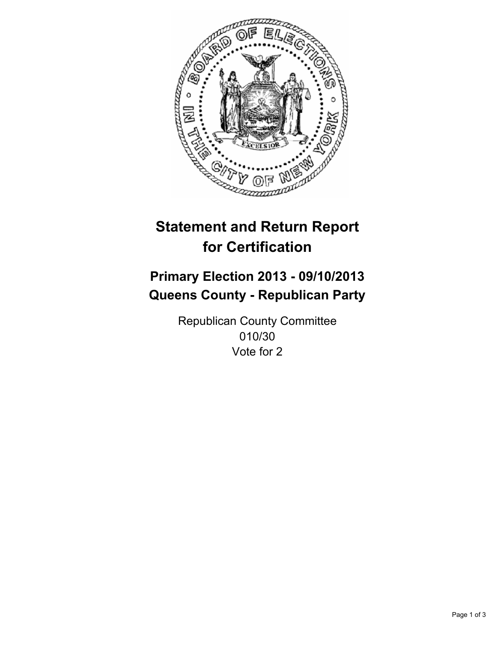

# **Statement and Return Report for Certification**

## **Primary Election 2013 - 09/10/2013 Queens County - Republican Party**

Republican County Committee 010/30 Vote for 2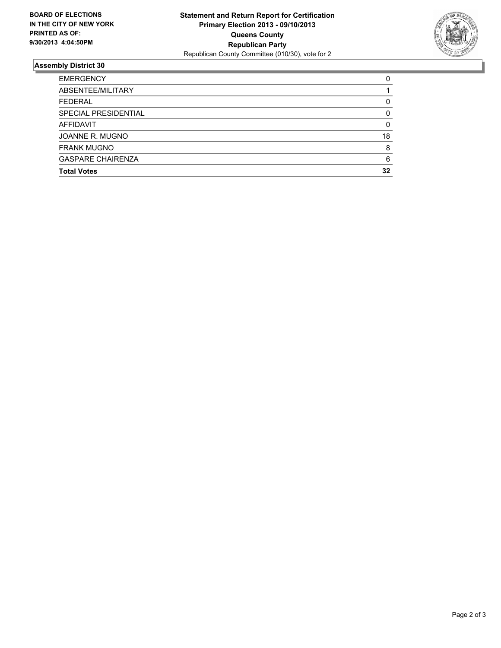

## **Assembly District 30**

| <b>EMERGENCY</b>         | 0  |
|--------------------------|----|
| ABSENTEE/MILITARY        |    |
| <b>FEDERAL</b>           | 0  |
| SPECIAL PRESIDENTIAL     | 0  |
| AFFIDAVIT                | 0  |
| JOANNE R. MUGNO          | 18 |
| <b>FRANK MUGNO</b>       | 8  |
| <b>GASPARE CHAIRENZA</b> | 6  |
| <b>Total Votes</b>       | 32 |